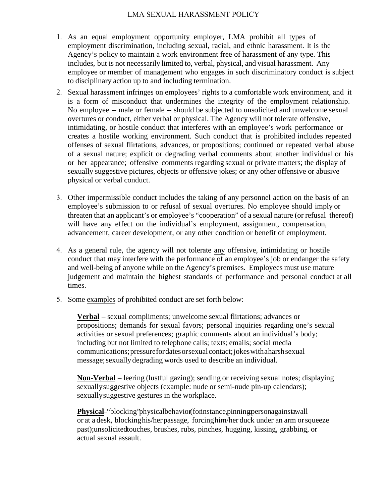## LMA SEXUAL HARASSMENT POLICY

- 1. As an equal employment opportunity employer, LMA prohibit all types of employment discrimination, including sexual, racial, and ethnic harassment. It is the Agency's policy to maintain a work environment free of harassment of any type. This includes, but is not necessarily limited to, verbal, physical, and visual harassment. Any employee or member of management who engages in such discriminatory conduct is subject to disciplinary action up to and including termination.
- 2. Sexual harassment infringes on employees' rights to a comfortable work environment, and it is a form of misconduct that undermines the integrity of the employment relationship. No employee -- male or female -- should be subjected to unsolicited and unwelcome sexual overtures or conduct, either verbal or physical. The Agency will not tolerate offensive, intimidating, or hostile conduct that interferes with an employee's work performance or creates a hostile working environment. Such conduct that is prohibited includes repeated offenses of sexual flirtations, advances, or propositions; continued or repeated verbal abuse of a sexual nature; explicit or degrading verbal comments about another individual or his or her appearance; offensive comments regarding sexual or private matters; the display of sexually suggestive pictures, objects or offensive jokes; or any other offensive or abusive physical or verbal conduct.
- 3. Other impermissible conduct includes the taking of any personnel action on the basis of an employee's submission to or refusal of sexual overtures. No employee should imply or threaten that an applicant's or employee's "cooperation" of a sexual nature (or refusal thereof) will have any effect on the individual's employment, assignment, compensation, advancement, career development, or any other condition or benefit of employment.
- 4. As a general rule, the agency will not tolerate any offensive, intimidating or hostile conduct that may interfere with the performance of an employee's job or endanger the safety and well-being of anyone while on the Agency's premises. Employees must use mature judgement and maintain the highest standards of performance and personal conduct at all times.
- 5. Some examples of prohibited conduct are set forth below:

**Verbal** – sexual compliments; unwelcome sexual flirtations; advances or propositions; demands for sexual favors; personal inquiries regarding one's sexual activities or sexual preferences; graphic comments about an individual's body; including but not limited to telephone calls; texts; emails; social media communications; pressure for dates or sexual contact; jokes with a harsh sexual message; sexually degrading words used to describe an individual.

**Non-Verbal** – leering (lustful gazing); sending or receiving sexual notes; displaying sexually suggestive objects (example: nude or semi-nude pin-up calendars); sexually suggestive gestures in the workplace.

**Physical–** "blocking" physical behavior (for instance, pinning personagainsta wall or at a desk, blocking his/her passage, forcinghim/her duck under an arm orsqueeze past);unsolicitedtouches, brushes, rubs, pinches, hugging, kissing, grabbing, or actual sexual assault.